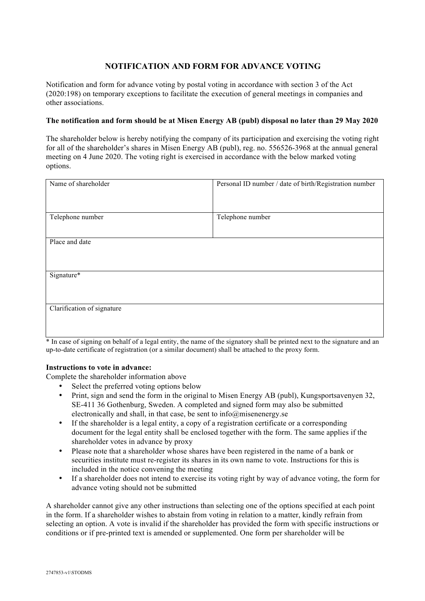## **NOTIFICATION AND FORM FOR ADVANCE VOTING**

Notification and form for advance voting by postal voting in accordance with section 3 of the Act (2020:198) on temporary exceptions to facilitate the execution of general meetings in companies and other associations.

## **The notification and form should be at Misen Energy AB (publ) disposal no later than 29 May 2020**

The shareholder below is hereby notifying the company of its participation and exercising the voting right for all of the shareholder's shares in Misen Energy AB (publ), reg. no. 556526-3968 at the annual general meeting on 4 June 2020. The voting right is exercised in accordance with the below marked voting options.

| Name of shareholder        | Personal ID number / date of birth/Registration number |
|----------------------------|--------------------------------------------------------|
| Telephone number           | Telephone number                                       |
| Place and date             |                                                        |
| Signature*                 |                                                        |
| Clarification of signature |                                                        |

\* In case of signing on behalf of a legal entity, the name of the signatory shall be printed next to the signature and an up-to-date certificate of registration (or a similar document) shall be attached to the proxy form.

## **Instructions to vote in advance:**

Complete the shareholder information above

- Select the preferred voting options below
- Print, sign and send the form in the original to Misen Energy AB (publ), Kungsportsavenyen 32, SE-411 36 Gothenburg, Sweden. A completed and signed form may also be submitted electronically and shall, in that case, be sent to info@misenenergy.se
- If the shareholder is a legal entity, a copy of a registration certificate or a corresponding document for the legal entity shall be enclosed together with the form. The same applies if the shareholder votes in advance by proxy
- Please note that a shareholder whose shares have been registered in the name of a bank or securities institute must re-register its shares in its own name to vote. Instructions for this is included in the notice convening the meeting
- If a shareholder does not intend to exercise its voting right by way of advance voting, the form for advance voting should not be submitted

A shareholder cannot give any other instructions than selecting one of the options specified at each point in the form. If a shareholder wishes to abstain from voting in relation to a matter, kindly refrain from selecting an option. A vote is invalid if the shareholder has provided the form with specific instructions or conditions or if pre-printed text is amended or supplemented. One form per shareholder will be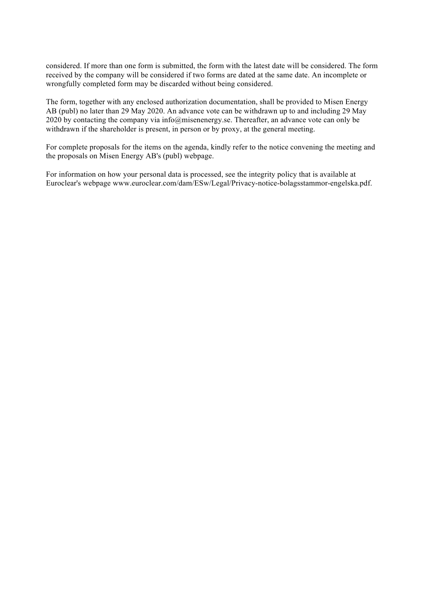considered. If more than one form is submitted, the form with the latest date will be considered. The form received by the company will be considered if two forms are dated at the same date. An incomplete or wrongfully completed form may be discarded without being considered.

The form, together with any enclosed authorization documentation, shall be provided to Misen Energy AB (publ) no later than 29 May 2020. An advance vote can be withdrawn up to and including 29 May 2020 by contacting the company via info@misenenergy.se. Thereafter, an advance vote can only be withdrawn if the shareholder is present, in person or by proxy, at the general meeting.

For complete proposals for the items on the agenda, kindly refer to the notice convening the meeting and the proposals on Misen Energy AB's (publ) webpage.

For information on how your personal data is processed, see the integrity policy that is available at Euroclear's webpage www.euroclear.com/dam/ESw/Legal/Privacy-notice-bolagsstammor-engelska.pdf.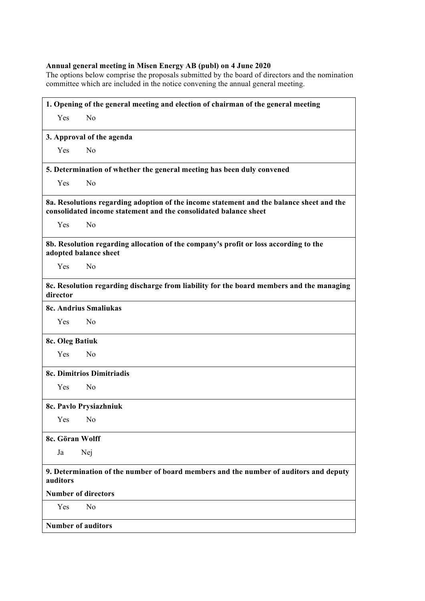## **Annual general meeting in Misen Energy AB (publ) on 4 June 2020**

The options below comprise the proposals submitted by the board of directors and the nomination committee which are included in the notice convening the annual general meeting.

| 1. Opening of the general meeting and election of chairman of the general meeting                                                                            |  |
|--------------------------------------------------------------------------------------------------------------------------------------------------------------|--|
| Yes<br>N <sub>0</sub>                                                                                                                                        |  |
| 3. Approval of the agenda                                                                                                                                    |  |
| N <sub>0</sub><br>Yes                                                                                                                                        |  |
| 5. Determination of whether the general meeting has been duly convened                                                                                       |  |
| N <sub>o</sub><br>Yes                                                                                                                                        |  |
| 8a. Resolutions regarding adoption of the income statement and the balance sheet and the<br>consolidated income statement and the consolidated balance sheet |  |
| Yes<br>N <sub>0</sub>                                                                                                                                        |  |
| 8b. Resolution regarding allocation of the company's profit or loss according to the<br>adopted balance sheet                                                |  |
| N <sub>0</sub><br>Yes                                                                                                                                        |  |
| 8c. Resolution regarding discharge from liability for the board members and the managing<br>director                                                         |  |
| <b>8c. Andrius Smaliukas</b>                                                                                                                                 |  |
| N <sub>0</sub><br>Yes                                                                                                                                        |  |
| 8c. Oleg Batiuk                                                                                                                                              |  |
| N <sub>0</sub><br>Yes                                                                                                                                        |  |
| 8c. Dimitrios Dimitriadis                                                                                                                                    |  |
| Yes<br>N <sub>0</sub>                                                                                                                                        |  |
| 8c. Pavlo Prysiazhniuk                                                                                                                                       |  |
| Yes<br>No                                                                                                                                                    |  |
| 8c. Göran Wolff                                                                                                                                              |  |
| Nej<br>Ja                                                                                                                                                    |  |
| 9. Determination of the number of board members and the number of auditors and deputy<br>auditors                                                            |  |
| <b>Number of directors</b>                                                                                                                                   |  |
| Yes<br>No                                                                                                                                                    |  |
| <b>Number of auditors</b>                                                                                                                                    |  |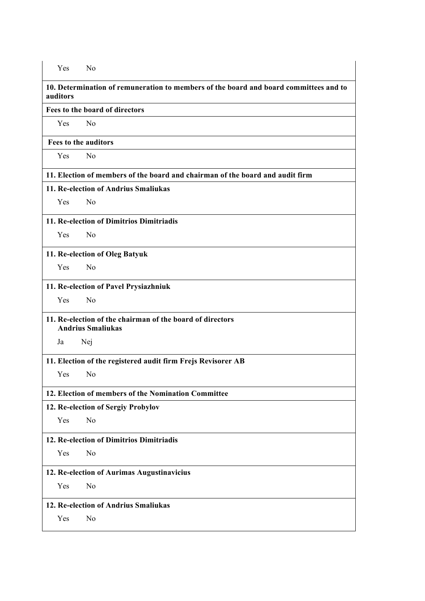| Yes                                                                                               | N <sub>0</sub>                                                                |  |
|---------------------------------------------------------------------------------------------------|-------------------------------------------------------------------------------|--|
| 10. Determination of remuneration to members of the board and board committees and to<br>auditors |                                                                               |  |
| Fees to the board of directors                                                                    |                                                                               |  |
| Yes                                                                                               | N <sub>o</sub>                                                                |  |
| <b>Fees to the auditors</b>                                                                       |                                                                               |  |
| Yes                                                                                               | No                                                                            |  |
|                                                                                                   | 11. Election of members of the board and chairman of the board and audit firm |  |
|                                                                                                   | 11. Re-election of Andrius Smaliukas                                          |  |
| <b>Yes</b>                                                                                        | No                                                                            |  |
|                                                                                                   | 11. Re-election of Dimitrios Dimitriadis                                      |  |
| Yes                                                                                               | N <sub>0</sub>                                                                |  |
|                                                                                                   | 11. Re-election of Oleg Batyuk                                                |  |
| Yes                                                                                               | No                                                                            |  |
|                                                                                                   | 11. Re-election of Pavel Prysiazhniuk                                         |  |
| Yes                                                                                               | N <sub>o</sub>                                                                |  |
| 11. Re-election of the chairman of the board of directors<br><b>Andrius Smaliukas</b>             |                                                                               |  |
| Ja                                                                                                | Nej                                                                           |  |
|                                                                                                   | 11. Election of the registered audit firm Frejs Revisorer AB                  |  |
| Yes                                                                                               | N <sub>0</sub>                                                                |  |
|                                                                                                   | 12. Election of members of the Nomination Committee                           |  |
|                                                                                                   | 12. Re-election of Sergiy Probylov                                            |  |
| Yes                                                                                               | N <sub>0</sub>                                                                |  |
|                                                                                                   | 12. Re-election of Dimitrios Dimitriadis                                      |  |
| Yes                                                                                               | N <sub>0</sub>                                                                |  |
|                                                                                                   | 12. Re-election of Aurimas Augustinavicius                                    |  |
| Yes                                                                                               | No                                                                            |  |
|                                                                                                   | 12. Re-election of Andrius Smaliukas                                          |  |
| Yes                                                                                               | No                                                                            |  |